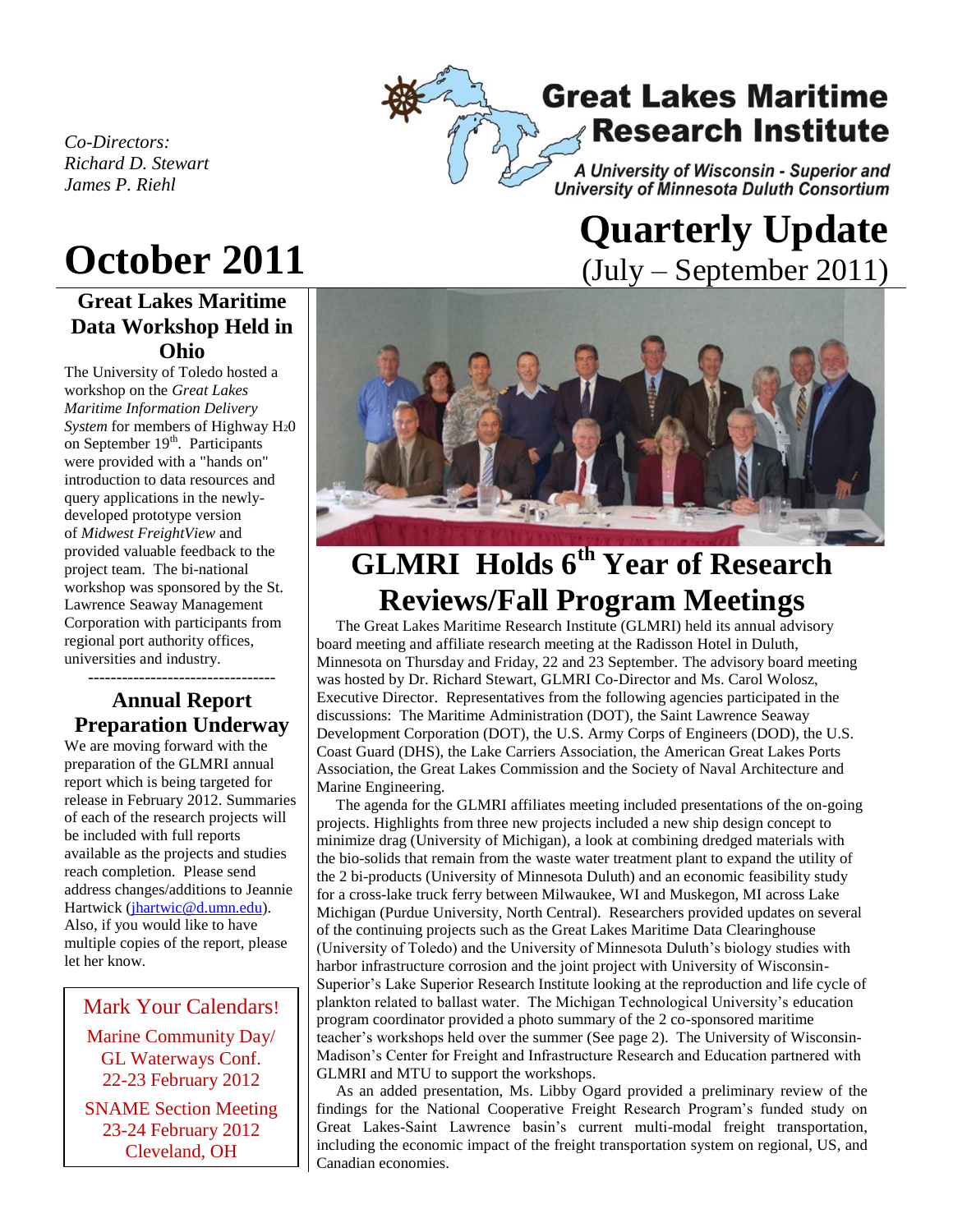

*Co-Directors: Richard D. Stewart James P. Riehl*

# **October 2011**

## **Great Lakes Maritime Data Workshop Held in Ohio**

The University of Toledo hosted a workshop on the *Great Lakes Maritime Information Delivery System* for members of Highway H20 on September 19<sup>th</sup>. Participants were provided with a "hands on" introduction to data resources and query applications in the newlydeveloped prototype version of *Midwest FreightView* and provided valuable feedback to the project team. The bi-national workshop was sponsored by the St. Lawrence Seaway Management Corporation with participants from regional port authority offices, universities and industry.

### --------------------------------- **Annual Report Preparation Underway**

We are moving forward with the preparation of the GLMRI annual report which is being targeted for release in February 2012. Summaries of each of the research projects will be included with full reports available as the projects and studies reach completion. Please send address changes/additions to Jeannie Hartwick [\(jhartwic@d.umn.edu\)](mailto:jhartwic@d.umn.edu). Also, if you would like to have multiple copies of the report, please let her know.

### Mark Your Calendars!

Marine Community Day/ GL Waterways Conf. 22-23 February 2012

SNAME Section Meeting 23-24 February 2012 Cleveland, OH

# **Quarterly Update**  (July – September 2011)



# **GLMRI Holds 6 th Year of Research Reviews/Fall Program Meetings**

 The Great Lakes Maritime Research Institute (GLMRI) held its annual advisory board meeting and affiliate research meeting at the Radisson Hotel in Duluth, Minnesota on Thursday and Friday, 22 and 23 September. The advisory board meeting was hosted by Dr. Richard Stewart, GLMRI Co-Director and Ms. Carol Wolosz, Executive Director. Representatives from the following agencies participated in the discussions: The Maritime Administration (DOT), the Saint Lawrence Seaway Development Corporation (DOT), the U.S. Army Corps of Engineers (DOD), the U.S. Coast Guard (DHS), the Lake Carriers Association, the American Great Lakes Ports Association, the Great Lakes Commission and the Society of Naval Architecture and Marine Engineering.

 The agenda for the GLMRI affiliates meeting included presentations of the on-going projects. Highlights from three new projects included a new ship design concept to minimize drag (University of Michigan), a look at combining dredged materials with the bio-solids that remain from the waste water treatment plant to expand the utility of the 2 bi-products (University of Minnesota Duluth) and an economic feasibility study for a cross-lake truck ferry between Milwaukee, WI and Muskegon, MI across Lake Michigan (Purdue University, North Central). Researchers provided updates on several of the continuing projects such as the Great Lakes Maritime Data Clearinghouse (University of Toledo) and the University of Minnesota Duluth's biology studies with harbor infrastructure corrosion and the joint project with University of Wisconsin-Superior's Lake Superior Research Institute looking at the reproduction and life cycle of plankton related to ballast water. The Michigan Technological University's education program coordinator provided a photo summary of the 2 co-sponsored maritime teacher's workshops held over the summer (See page 2). The University of Wisconsin-Madison's Center for Freight and Infrastructure Research and Education partnered with GLMRI and MTU to support the workshops.

 As an added presentation, Ms. Libby Ogard provided a preliminary review of the findings for the National Cooperative Freight Research Program's funded study on Great Lakes-Saint Lawrence basin's current multi-modal freight transportation, including the economic impact of the freight transportation system on regional, US, and Canadian economies.